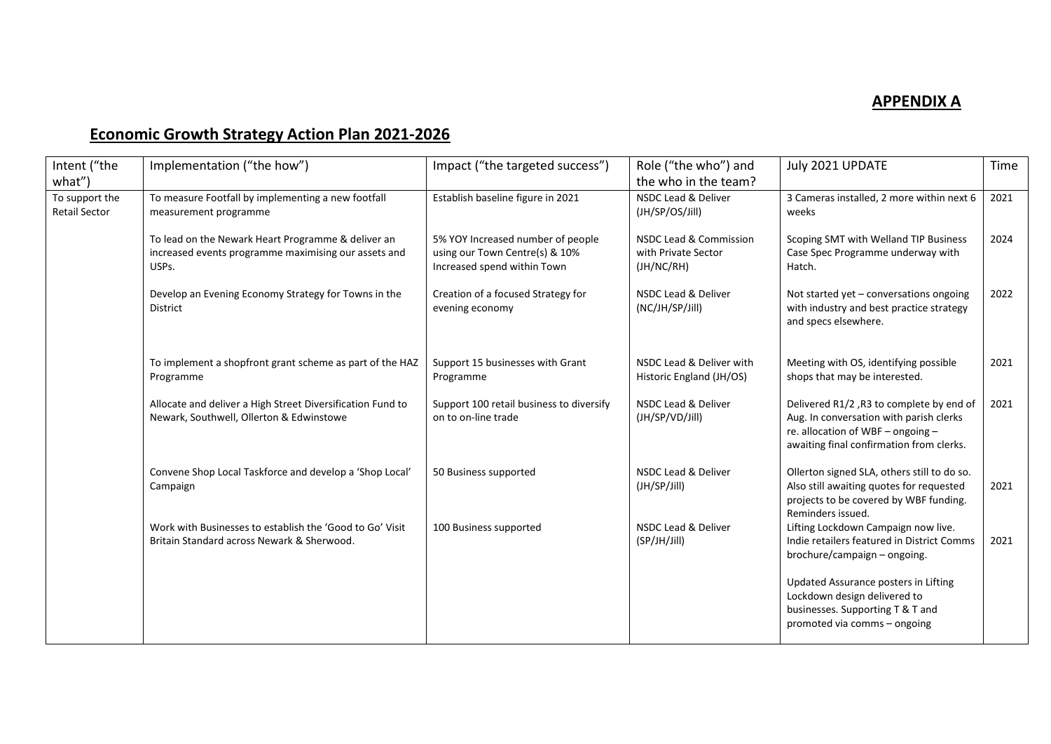## **APPENDIX A**

## **Economic Growth Strategy Action Plan 2021-2026**

| Intent ("the                           | Implementation ("the how")                                                                                          | Impact ("the targeted success")                                                                    | Role ("the who") and                                        | July 2021 UPDATE                                                                                                                                                     | Time |
|----------------------------------------|---------------------------------------------------------------------------------------------------------------------|----------------------------------------------------------------------------------------------------|-------------------------------------------------------------|----------------------------------------------------------------------------------------------------------------------------------------------------------------------|------|
| what")                                 |                                                                                                                     |                                                                                                    | the who in the team?                                        |                                                                                                                                                                      |      |
| To support the<br><b>Retail Sector</b> | To measure Footfall by implementing a new footfall<br>measurement programme                                         | Establish baseline figure in 2021                                                                  | NSDC Lead & Deliver<br>(JH/SP/OS/Jill)                      | 3 Cameras installed, 2 more within next 6<br>weeks                                                                                                                   | 2021 |
|                                        | To lead on the Newark Heart Programme & deliver an<br>increased events programme maximising our assets and<br>USPs. | 5% YOY Increased number of people<br>using our Town Centre(s) & 10%<br>Increased spend within Town | NSDC Lead & Commission<br>with Private Sector<br>(JH/NC/RH) | Scoping SMT with Welland TIP Business<br>Case Spec Programme underway with<br>Hatch.                                                                                 | 2024 |
|                                        | Develop an Evening Economy Strategy for Towns in the<br><b>District</b>                                             | Creation of a focused Strategy for<br>evening economy                                              | <b>NSDC Lead &amp; Deliver</b><br>(NC/JH/SP/Jill)           | Not started yet - conversations ongoing<br>with industry and best practice strategy<br>and specs elsewhere.                                                          | 2022 |
|                                        | To implement a shopfront grant scheme as part of the HAZ<br>Programme                                               | Support 15 businesses with Grant<br>Programme                                                      | NSDC Lead & Deliver with<br>Historic England (JH/OS)        | Meeting with OS, identifying possible<br>shops that may be interested.                                                                                               | 2021 |
|                                        | Allocate and deliver a High Street Diversification Fund to<br>Newark, Southwell, Ollerton & Edwinstowe              | Support 100 retail business to diversify<br>on to on-line trade                                    | NSDC Lead & Deliver<br>(JH/SP/VD/Jill)                      | Delivered R1/2, R3 to complete by end of<br>Aug. In conversation with parish clerks<br>re. allocation of WBF - ongoing -<br>awaiting final confirmation from clerks. | 2021 |
|                                        | Convene Shop Local Taskforce and develop a 'Shop Local'<br>Campaign                                                 | 50 Business supported                                                                              | NSDC Lead & Deliver<br>(JH/SP/Jill)                         | Ollerton signed SLA, others still to do so.<br>Also still awaiting quotes for requested<br>projects to be covered by WBF funding.<br>Reminders issued.               | 2021 |
|                                        | Work with Businesses to establish the 'Good to Go' Visit<br>Britain Standard across Newark & Sherwood.              | 100 Business supported                                                                             | <b>NSDC Lead &amp; Deliver</b><br>(SP/JH/Jill)              | Lifting Lockdown Campaign now live.<br>Indie retailers featured in District Comms<br>brochure/campaign - ongoing.                                                    | 2021 |
|                                        |                                                                                                                     |                                                                                                    |                                                             | Updated Assurance posters in Lifting<br>Lockdown design delivered to<br>businesses. Supporting T & T and<br>promoted via comms - ongoing                             |      |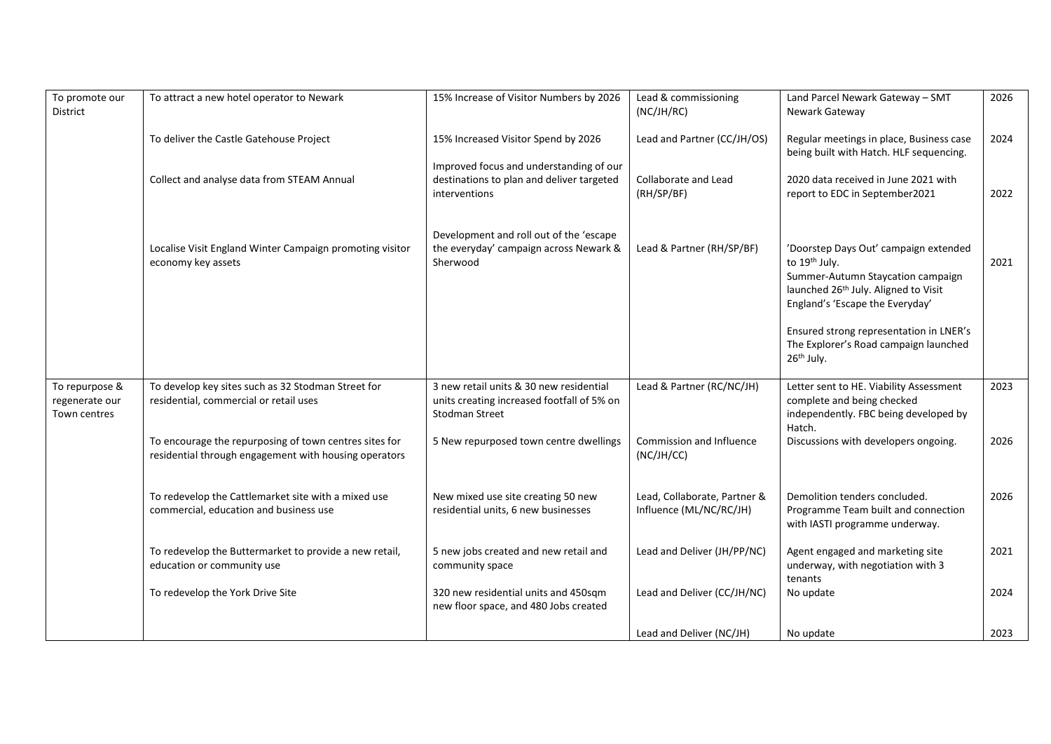| To promote our<br>District                       | To attract a new hotel operator to Newark                                                                       | 15% Increase of Visitor Numbers by 2026                                                                        | Lead & commissioning<br>(NC/JH/RC)                      | Land Parcel Newark Gateway - SMT<br>Newark Gateway                                                                                                                                 | 2026 |
|--------------------------------------------------|-----------------------------------------------------------------------------------------------------------------|----------------------------------------------------------------------------------------------------------------|---------------------------------------------------------|------------------------------------------------------------------------------------------------------------------------------------------------------------------------------------|------|
|                                                  | To deliver the Castle Gatehouse Project                                                                         | 15% Increased Visitor Spend by 2026                                                                            | Lead and Partner (CC/JH/OS)                             | Regular meetings in place, Business case<br>being built with Hatch. HLF sequencing.                                                                                                | 2024 |
|                                                  | Collect and analyse data from STEAM Annual                                                                      | Improved focus and understanding of our<br>destinations to plan and deliver targeted<br>interventions          | Collaborate and Lead<br>(RH/SP/BF)                      | 2020 data received in June 2021 with<br>report to EDC in September2021                                                                                                             | 2022 |
|                                                  | Localise Visit England Winter Campaign promoting visitor<br>economy key assets                                  | Development and roll out of the 'escape<br>the everyday' campaign across Newark &<br>Sherwood                  | Lead & Partner (RH/SP/BF)                               | 'Doorstep Days Out' campaign extended<br>to 19th July.<br>Summer-Autumn Staycation campaign<br>launched 26 <sup>th</sup> July. Aligned to Visit<br>England's 'Escape the Everyday' | 2021 |
|                                                  |                                                                                                                 |                                                                                                                |                                                         | Ensured strong representation in LNER's<br>The Explorer's Road campaign launched<br>26 <sup>th</sup> July.                                                                         |      |
| To repurpose &<br>regenerate our<br>Town centres | To develop key sites such as 32 Stodman Street for<br>residential, commercial or retail uses                    | 3 new retail units & 30 new residential<br>units creating increased footfall of 5% on<br><b>Stodman Street</b> | Lead & Partner (RC/NC/JH)                               | Letter sent to HE. Viability Assessment<br>complete and being checked<br>independently. FBC being developed by<br>Hatch.                                                           | 2023 |
|                                                  | To encourage the repurposing of town centres sites for<br>residential through engagement with housing operators | 5 New repurposed town centre dwellings                                                                         | Commission and Influence<br>(NC/JH/CC)                  | Discussions with developers ongoing.                                                                                                                                               | 2026 |
|                                                  | To redevelop the Cattlemarket site with a mixed use<br>commercial, education and business use                   | New mixed use site creating 50 new<br>residential units, 6 new businesses                                      | Lead, Collaborate, Partner &<br>Influence (ML/NC/RC/JH) | Demolition tenders concluded.<br>Programme Team built and connection<br>with IASTI programme underway.                                                                             | 2026 |
|                                                  | To redevelop the Buttermarket to provide a new retail,<br>education or community use                            | 5 new jobs created and new retail and<br>community space                                                       | Lead and Deliver (JH/PP/NC)                             | Agent engaged and marketing site<br>underway, with negotiation with 3<br>tenants                                                                                                   | 2021 |
|                                                  | To redevelop the York Drive Site                                                                                | 320 new residential units and 450sqm<br>new floor space, and 480 Jobs created                                  | Lead and Deliver (CC/JH/NC)                             | No update                                                                                                                                                                          | 2024 |
|                                                  |                                                                                                                 |                                                                                                                | Lead and Deliver (NC/JH)                                | No update                                                                                                                                                                          | 2023 |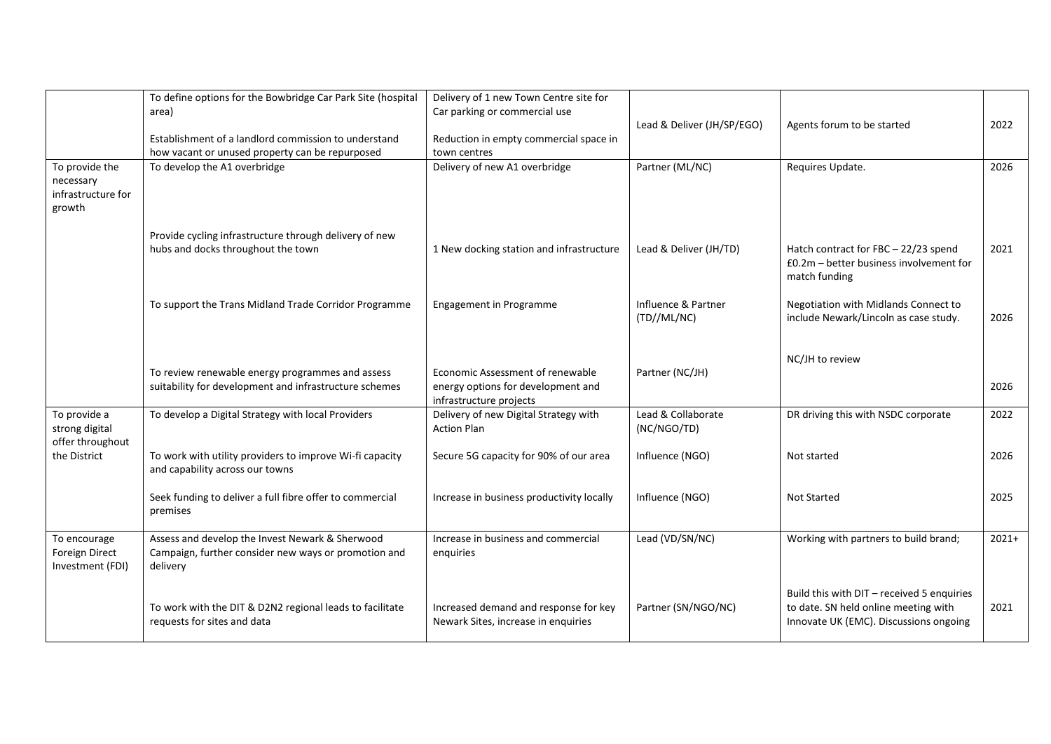|                                    | To define options for the Bowbridge Car Park Site (hospital                                  | Delivery of 1 new Town Centre site for                      |                            |                                            |         |
|------------------------------------|----------------------------------------------------------------------------------------------|-------------------------------------------------------------|----------------------------|--------------------------------------------|---------|
|                                    | area)                                                                                        | Car parking or commercial use                               |                            |                                            |         |
|                                    |                                                                                              |                                                             | Lead & Deliver (JH/SP/EGO) | Agents forum to be started                 | 2022    |
|                                    | Establishment of a landlord commission to understand                                         | Reduction in empty commercial space in                      |                            |                                            |         |
|                                    | how vacant or unused property can be repurposed                                              | town centres                                                |                            |                                            |         |
| To provide the                     | To develop the A1 overbridge                                                                 | Delivery of new A1 overbridge                               | Partner (ML/NC)            | Requires Update.                           | 2026    |
| necessary                          |                                                                                              |                                                             |                            |                                            |         |
| infrastructure for                 |                                                                                              |                                                             |                            |                                            |         |
| growth                             |                                                                                              |                                                             |                            |                                            |         |
|                                    |                                                                                              |                                                             |                            |                                            |         |
|                                    | Provide cycling infrastructure through delivery of new<br>hubs and docks throughout the town | 1 New docking station and infrastructure                    | Lead & Deliver (JH/TD)     | Hatch contract for FBC - 22/23 spend       | 2021    |
|                                    |                                                                                              |                                                             |                            | $£0.2m - better business involvement for$  |         |
|                                    |                                                                                              |                                                             |                            | match funding                              |         |
|                                    |                                                                                              |                                                             |                            |                                            |         |
|                                    | To support the Trans Midland Trade Corridor Programme                                        | Engagement in Programme                                     | Influence & Partner        | Negotiation with Midlands Connect to       |         |
|                                    |                                                                                              |                                                             | (TD//ML/NC)                | include Newark/Lincoln as case study.      | 2026    |
|                                    |                                                                                              |                                                             |                            |                                            |         |
|                                    |                                                                                              |                                                             |                            |                                            |         |
|                                    |                                                                                              |                                                             |                            | NC/JH to review                            |         |
|                                    | To review renewable energy programmes and assess                                             | Economic Assessment of renewable                            | Partner (NC/JH)            |                                            |         |
|                                    | suitability for development and infrastructure schemes                                       | energy options for development and                          |                            |                                            | 2026    |
|                                    |                                                                                              | infrastructure projects                                     |                            |                                            |         |
| To provide a                       | To develop a Digital Strategy with local Providers                                           | Delivery of new Digital Strategy with<br><b>Action Plan</b> | Lead & Collaborate         | DR driving this with NSDC corporate        | 2022    |
| strong digital<br>offer throughout |                                                                                              |                                                             | (NC/NGO/TD)                |                                            |         |
| the District                       | To work with utility providers to improve Wi-fi capacity                                     | Secure 5G capacity for 90% of our area                      | Influence (NGO)            | Not started                                | 2026    |
|                                    | and capability across our towns                                                              |                                                             |                            |                                            |         |
|                                    |                                                                                              |                                                             |                            |                                            |         |
|                                    | Seek funding to deliver a full fibre offer to commercial                                     | Increase in business productivity locally                   | Influence (NGO)            | <b>Not Started</b>                         | 2025    |
|                                    | premises                                                                                     |                                                             |                            |                                            |         |
|                                    |                                                                                              |                                                             |                            |                                            |         |
| To encourage                       | Assess and develop the Invest Newark & Sherwood                                              | Increase in business and commercial                         | Lead (VD/SN/NC)            | Working with partners to build brand;      | $2021+$ |
| Foreign Direct                     | Campaign, further consider new ways or promotion and                                         | enquiries                                                   |                            |                                            |         |
| Investment (FDI)                   | delivery                                                                                     |                                                             |                            |                                            |         |
|                                    |                                                                                              |                                                             |                            |                                            |         |
|                                    |                                                                                              |                                                             |                            | Build this with DIT - received 5 enquiries |         |
|                                    | To work with the DIT & D2N2 regional leads to facilitate                                     | Increased demand and response for key                       | Partner (SN/NGO/NC)        | to date. SN held online meeting with       | 2021    |
|                                    | requests for sites and data                                                                  | Newark Sites, increase in enquiries                         |                            | Innovate UK (EMC). Discussions ongoing     |         |
|                                    |                                                                                              |                                                             |                            |                                            |         |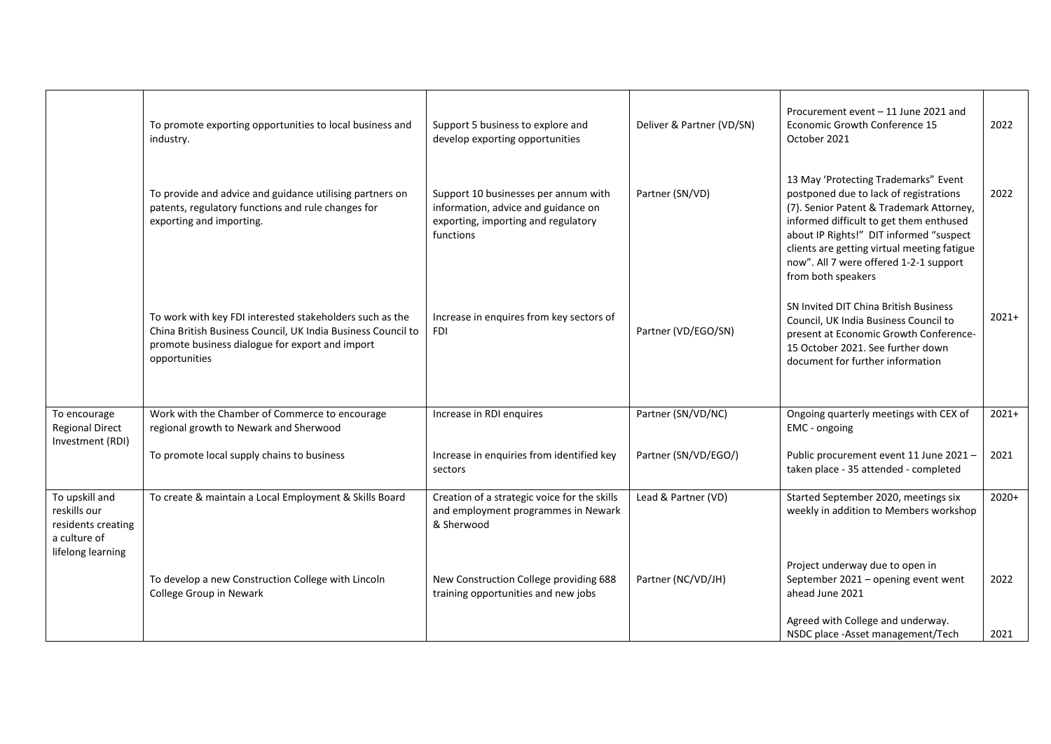|                                                                                           | To promote exporting opportunities to local business and<br>industry.                                                                                                                        | Support 5 business to explore and<br>develop exporting opportunities                                                            | Deliver & Partner (VD/SN) | Procurement event - 11 June 2021 and<br>Economic Growth Conference 15<br>October 2021                                                                                                                                                                                                                                           | 2022    |
|-------------------------------------------------------------------------------------------|----------------------------------------------------------------------------------------------------------------------------------------------------------------------------------------------|---------------------------------------------------------------------------------------------------------------------------------|---------------------------|---------------------------------------------------------------------------------------------------------------------------------------------------------------------------------------------------------------------------------------------------------------------------------------------------------------------------------|---------|
|                                                                                           | To provide and advice and guidance utilising partners on<br>patents, regulatory functions and rule changes for<br>exporting and importing.                                                   | Support 10 businesses per annum with<br>information, advice and guidance on<br>exporting, importing and regulatory<br>functions | Partner (SN/VD)           | 13 May 'Protecting Trademarks" Event<br>postponed due to lack of registrations<br>(7). Senior Patent & Trademark Attorney,<br>informed difficult to get them enthused<br>about IP Rights!" DIT informed "suspect<br>clients are getting virtual meeting fatigue<br>now". All 7 were offered 1-2-1 support<br>from both speakers | 2022    |
|                                                                                           | To work with key FDI interested stakeholders such as the<br>China British Business Council, UK India Business Council to<br>promote business dialogue for export and import<br>opportunities | Increase in enquires from key sectors of<br><b>FDI</b>                                                                          | Partner (VD/EGO/SN)       | SN Invited DIT China British Business<br>Council, UK India Business Council to<br>present at Economic Growth Conference-<br>15 October 2021. See further down<br>document for further information                                                                                                                               | $2021+$ |
| To encourage<br><b>Regional Direct</b>                                                    | Work with the Chamber of Commerce to encourage<br>regional growth to Newark and Sherwood                                                                                                     | Increase in RDI enquires                                                                                                        | Partner (SN/VD/NC)        | Ongoing quarterly meetings with CEX of<br>EMC - ongoing                                                                                                                                                                                                                                                                         | $2021+$ |
| Investment (RDI)                                                                          | To promote local supply chains to business                                                                                                                                                   | Increase in enquiries from identified key<br>sectors                                                                            | Partner (SN/VD/EGO/)      | Public procurement event 11 June 2021 -<br>taken place - 35 attended - completed                                                                                                                                                                                                                                                | 2021    |
| To upskill and<br>reskills our<br>residents creating<br>a culture of<br>lifelong learning | To create & maintain a Local Employment & Skills Board                                                                                                                                       | Creation of a strategic voice for the skills<br>and employment programmes in Newark<br>& Sherwood                               | Lead & Partner (VD)       | Started September 2020, meetings six<br>weekly in addition to Members workshop                                                                                                                                                                                                                                                  | $2020+$ |
|                                                                                           | To develop a new Construction College with Lincoln<br>College Group in Newark                                                                                                                | New Construction College providing 688<br>training opportunities and new jobs                                                   | Partner (NC/VD/JH)        | Project underway due to open in<br>September 2021 - opening event went<br>ahead June 2021                                                                                                                                                                                                                                       | 2022    |
|                                                                                           |                                                                                                                                                                                              |                                                                                                                                 |                           | Agreed with College and underway.<br>NSDC place -Asset management/Tech                                                                                                                                                                                                                                                          | 2021    |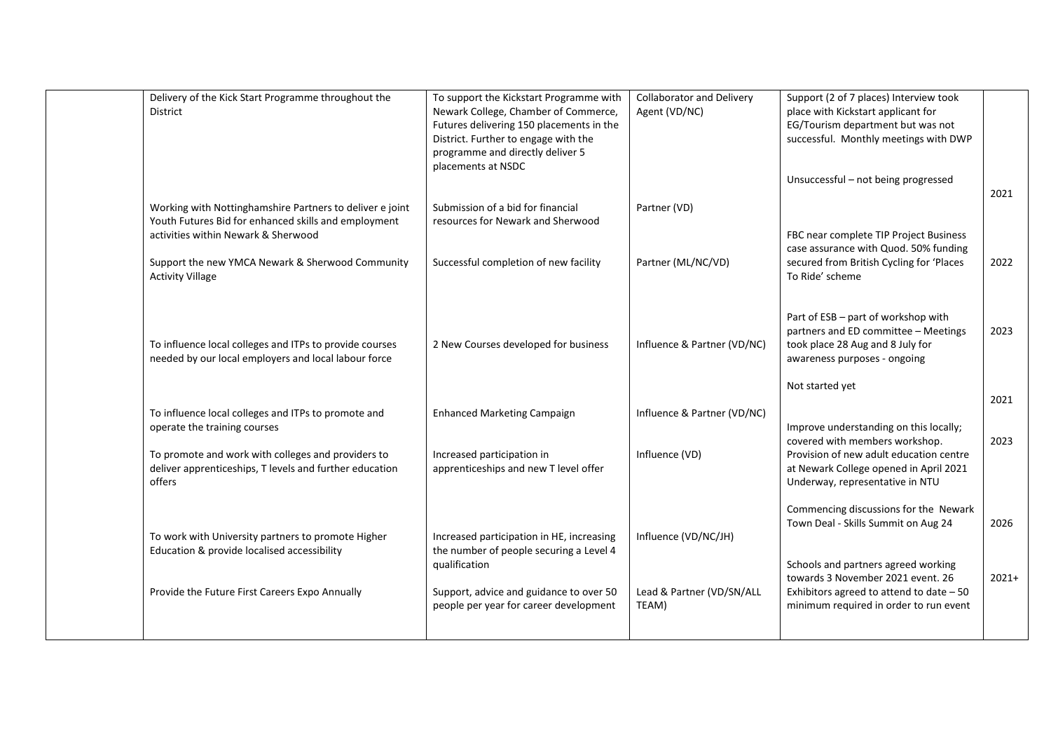| Delivery of the Kick Start Programme throughout the<br>District                                                                                         | To support the Kickstart Programme with<br>Newark College, Chamber of Commerce,<br>Futures delivering 150 placements in the<br>District. Further to engage with the<br>programme and directly deliver 5<br>placements at NSDC | <b>Collaborator and Delivery</b><br>Agent (VD/NC) | Support (2 of 7 places) Interview took<br>place with Kickstart applicant for<br>EG/Tourism department but was not<br>successful. Monthly meetings with DWP |         |
|---------------------------------------------------------------------------------------------------------------------------------------------------------|-------------------------------------------------------------------------------------------------------------------------------------------------------------------------------------------------------------------------------|---------------------------------------------------|------------------------------------------------------------------------------------------------------------------------------------------------------------|---------|
|                                                                                                                                                         |                                                                                                                                                                                                                               |                                                   | Unsuccessful - not being progressed                                                                                                                        | 2021    |
| Working with Nottinghamshire Partners to deliver e joint<br>Youth Futures Bid for enhanced skills and employment<br>activities within Newark & Sherwood | Submission of a bid for financial<br>resources for Newark and Sherwood                                                                                                                                                        | Partner (VD)                                      | FBC near complete TIP Project Business                                                                                                                     |         |
| Support the new YMCA Newark & Sherwood Community<br><b>Activity Village</b>                                                                             | Successful completion of new facility                                                                                                                                                                                         | Partner (ML/NC/VD)                                | case assurance with Quod. 50% funding<br>secured from British Cycling for 'Places<br>To Ride' scheme                                                       | 2022    |
|                                                                                                                                                         |                                                                                                                                                                                                                               |                                                   | Part of ESB - part of workshop with<br>partners and ED committee - Meetings                                                                                | 2023    |
| To influence local colleges and ITPs to provide courses<br>needed by our local employers and local labour force                                         | 2 New Courses developed for business                                                                                                                                                                                          | Influence & Partner (VD/NC)                       | took place 28 Aug and 8 July for<br>awareness purposes - ongoing                                                                                           |         |
|                                                                                                                                                         |                                                                                                                                                                                                                               |                                                   | Not started yet                                                                                                                                            | 2021    |
| To influence local colleges and ITPs to promote and<br>operate the training courses                                                                     | <b>Enhanced Marketing Campaign</b>                                                                                                                                                                                            | Influence & Partner (VD/NC)                       | Improve understanding on this locally;<br>covered with members workshop.                                                                                   | 2023    |
| To promote and work with colleges and providers to<br>deliver apprenticeships, T levels and further education<br>offers                                 | Increased participation in<br>apprenticeships and new T level offer                                                                                                                                                           | Influence (VD)                                    | Provision of new adult education centre<br>at Newark College opened in April 2021<br>Underway, representative in NTU                                       |         |
|                                                                                                                                                         |                                                                                                                                                                                                                               |                                                   | Commencing discussions for the Newark<br>Town Deal - Skills Summit on Aug 24                                                                               | 2026    |
| To work with University partners to promote Higher<br>Education & provide localised accessibility                                                       | Increased participation in HE, increasing<br>the number of people securing a Level 4<br>qualification                                                                                                                         | Influence (VD/NC/JH)                              | Schools and partners agreed working                                                                                                                        |         |
| Provide the Future First Careers Expo Annually                                                                                                          | Support, advice and guidance to over 50<br>people per year for career development                                                                                                                                             | Lead & Partner (VD/SN/ALL<br>TEAM)                | towards 3 November 2021 event. 26<br>Exhibitors agreed to attend to date $-50$<br>minimum required in order to run event                                   | $2021+$ |
|                                                                                                                                                         |                                                                                                                                                                                                                               |                                                   |                                                                                                                                                            |         |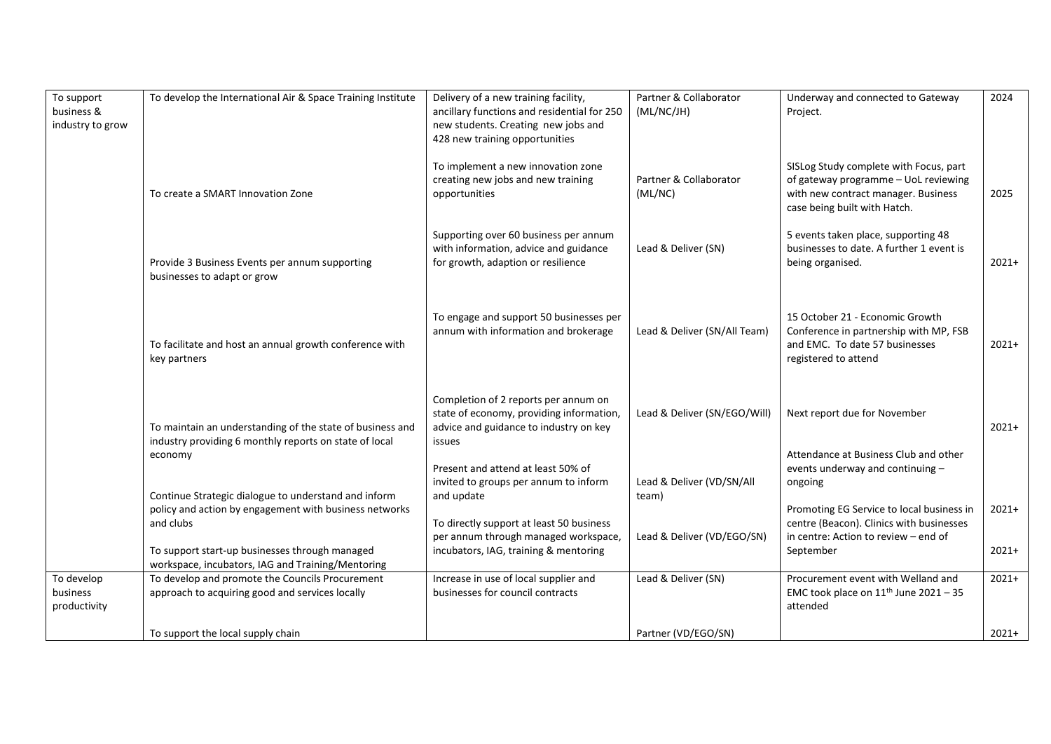|                  |                                                             |                                             |                              |                                           | 2024    |
|------------------|-------------------------------------------------------------|---------------------------------------------|------------------------------|-------------------------------------------|---------|
| To support       | To develop the International Air & Space Training Institute | Delivery of a new training facility,        | Partner & Collaborator       | Underway and connected to Gateway         |         |
| business &       |                                                             | ancillary functions and residential for 250 | (ML/NC/JH)                   | Project.                                  |         |
| industry to grow |                                                             | new students. Creating new jobs and         |                              |                                           |         |
|                  |                                                             | 428 new training opportunities              |                              |                                           |         |
|                  |                                                             |                                             |                              |                                           |         |
|                  |                                                             | To implement a new innovation zone          |                              | SISLog Study complete with Focus, part    |         |
|                  |                                                             | creating new jobs and new training          | Partner & Collaborator       | of gateway programme - UoL reviewing      |         |
|                  | To create a SMART Innovation Zone                           | opportunities                               | (ML/NC)                      | with new contract manager. Business       | 2025    |
|                  |                                                             |                                             |                              |                                           |         |
|                  |                                                             |                                             |                              | case being built with Hatch.              |         |
|                  |                                                             |                                             |                              |                                           |         |
|                  |                                                             | Supporting over 60 business per annum       |                              | 5 events taken place, supporting 48       |         |
|                  |                                                             | with information, advice and guidance       | Lead & Deliver (SN)          | businesses to date. A further 1 event is  |         |
|                  | Provide 3 Business Events per annum supporting              | for growth, adaption or resilience          |                              | being organised.                          | $2021+$ |
|                  | businesses to adapt or grow                                 |                                             |                              |                                           |         |
|                  |                                                             |                                             |                              |                                           |         |
|                  |                                                             |                                             |                              |                                           |         |
|                  |                                                             | To engage and support 50 businesses per     |                              | 15 October 21 - Economic Growth           |         |
|                  |                                                             | annum with information and brokerage        | Lead & Deliver (SN/All Team) | Conference in partnership with MP, FSB    |         |
|                  | To facilitate and host an annual growth conference with     |                                             |                              | and EMC. To date 57 businesses            | $2021+$ |
|                  | key partners                                                |                                             |                              | registered to attend                      |         |
|                  |                                                             |                                             |                              |                                           |         |
|                  |                                                             |                                             |                              |                                           |         |
|                  |                                                             | Completion of 2 reports per annum on        |                              |                                           |         |
|                  |                                                             | state of economy, providing information,    | Lead & Deliver (SN/EGO/Will) | Next report due for November              |         |
|                  | To maintain an understanding of the state of business and   | advice and guidance to industry on key      |                              |                                           | $2021+$ |
|                  | industry providing 6 monthly reports on state of local      | issues                                      |                              |                                           |         |
|                  | economy                                                     |                                             |                              | Attendance at Business Club and other     |         |
|                  |                                                             | Present and attend at least 50% of          |                              | events underway and continuing -          |         |
|                  |                                                             |                                             |                              |                                           |         |
|                  |                                                             | invited to groups per annum to inform       | Lead & Deliver (VD/SN/All    | ongoing                                   |         |
|                  | Continue Strategic dialogue to understand and inform        | and update                                  | team)                        |                                           |         |
|                  | policy and action by engagement with business networks      |                                             |                              | Promoting EG Service to local business in | $2021+$ |
|                  | and clubs                                                   | To directly support at least 50 business    |                              | centre (Beacon). Clinics with businesses  |         |
|                  |                                                             | per annum through managed workspace,        | Lead & Deliver (VD/EGO/SN)   | in centre: Action to review - end of      |         |
|                  | To support start-up businesses through managed              | incubators, IAG, training & mentoring       |                              | September                                 | $2021+$ |
|                  | workspace, incubators, IAG and Training/Mentoring           |                                             |                              |                                           |         |
| To develop       | To develop and promote the Councils Procurement             | Increase in use of local supplier and       | Lead & Deliver (SN)          | Procurement event with Welland and        | $2021+$ |
| business         | approach to acquiring good and services locally             | businesses for council contracts            |                              | EMC took place on $11th$ June 2021 - 35   |         |
| productivity     |                                                             |                                             |                              | attended                                  |         |
|                  |                                                             |                                             |                              |                                           |         |
|                  | To support the local supply chain                           |                                             | Partner (VD/EGO/SN)          |                                           | $2021+$ |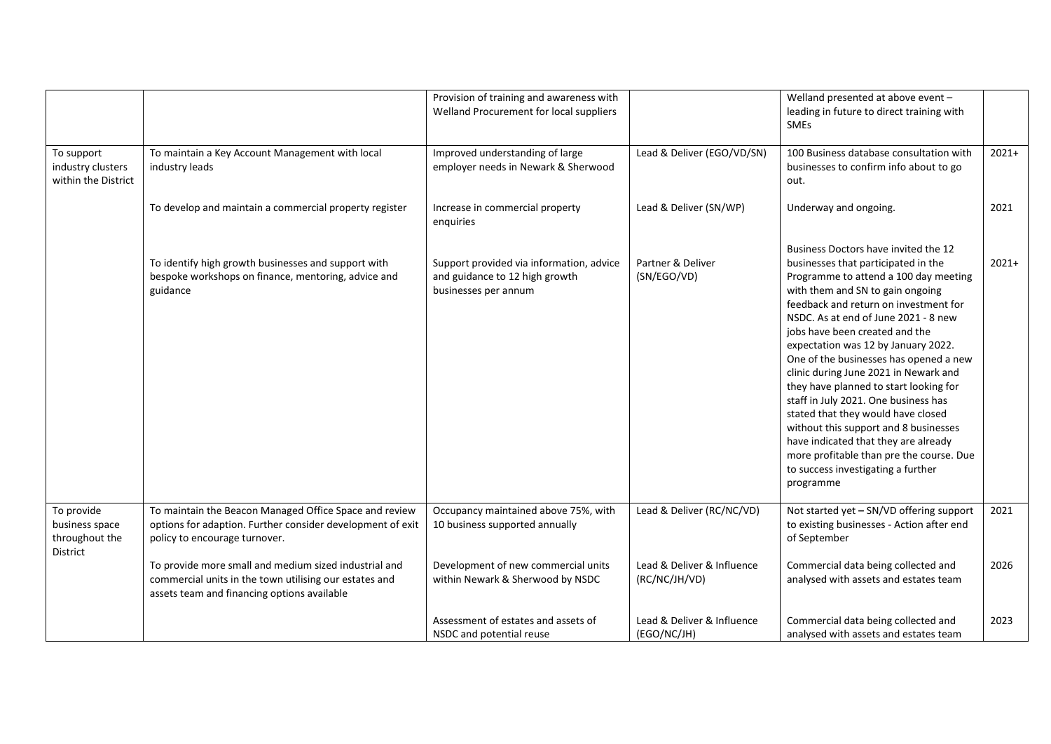|                                                                   |                                                                                                                                                                | Provision of training and awareness with<br>Welland Procurement for local suppliers                |                                             | Welland presented at above event -<br>leading in future to direct training with<br><b>SMEs</b>                                                                                                                                                                                                                                                                                                                                                                                                                                                                                                                                                                                                                |         |
|-------------------------------------------------------------------|----------------------------------------------------------------------------------------------------------------------------------------------------------------|----------------------------------------------------------------------------------------------------|---------------------------------------------|---------------------------------------------------------------------------------------------------------------------------------------------------------------------------------------------------------------------------------------------------------------------------------------------------------------------------------------------------------------------------------------------------------------------------------------------------------------------------------------------------------------------------------------------------------------------------------------------------------------------------------------------------------------------------------------------------------------|---------|
| To support<br>industry clusters<br>within the District            | To maintain a Key Account Management with local<br>industry leads                                                                                              | Improved understanding of large<br>employer needs in Newark & Sherwood                             | Lead & Deliver (EGO/VD/SN)                  | 100 Business database consultation with<br>businesses to confirm info about to go<br>out.                                                                                                                                                                                                                                                                                                                                                                                                                                                                                                                                                                                                                     | $2021+$ |
|                                                                   | To develop and maintain a commercial property register                                                                                                         | Increase in commercial property<br>enguiries                                                       | Lead & Deliver (SN/WP)                      | Underway and ongoing.                                                                                                                                                                                                                                                                                                                                                                                                                                                                                                                                                                                                                                                                                         | 2021    |
|                                                                   | To identify high growth businesses and support with<br>bespoke workshops on finance, mentoring, advice and<br>guidance                                         | Support provided via information, advice<br>and guidance to 12 high growth<br>businesses per annum | Partner & Deliver<br>(SN/EGO/VD)            | Business Doctors have invited the 12<br>businesses that participated in the<br>Programme to attend a 100 day meeting<br>with them and SN to gain ongoing<br>feedback and return on investment for<br>NSDC. As at end of June 2021 - 8 new<br>jobs have been created and the<br>expectation was 12 by January 2022.<br>One of the businesses has opened a new<br>clinic during June 2021 in Newark and<br>they have planned to start looking for<br>staff in July 2021. One business has<br>stated that they would have closed<br>without this support and 8 businesses<br>have indicated that they are already<br>more profitable than pre the course. Due<br>to success investigating a further<br>programme | $2021+$ |
| To provide<br>business space<br>throughout the<br><b>District</b> | To maintain the Beacon Managed Office Space and review<br>options for adaption. Further consider development of exit<br>policy to encourage turnover.          | Occupancy maintained above 75%, with<br>10 business supported annually                             | Lead & Deliver (RC/NC/VD)                   | Not started yet - SN/VD offering support<br>to existing businesses - Action after end<br>of September                                                                                                                                                                                                                                                                                                                                                                                                                                                                                                                                                                                                         | 2021    |
|                                                                   | To provide more small and medium sized industrial and<br>commercial units in the town utilising our estates and<br>assets team and financing options available | Development of new commercial units<br>within Newark & Sherwood by NSDC                            | Lead & Deliver & Influence<br>(RC/NC/JH/VD) | Commercial data being collected and<br>analysed with assets and estates team                                                                                                                                                                                                                                                                                                                                                                                                                                                                                                                                                                                                                                  | 2026    |
|                                                                   |                                                                                                                                                                | Assessment of estates and assets of<br>NSDC and potential reuse                                    | Lead & Deliver & Influence<br>(EGO/NC/JH)   | Commercial data being collected and<br>analysed with assets and estates team                                                                                                                                                                                                                                                                                                                                                                                                                                                                                                                                                                                                                                  | 2023    |